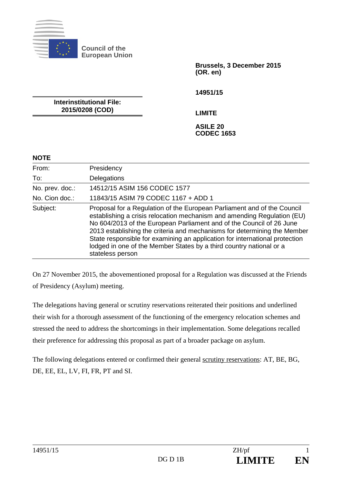

**Council of the European Union** 

> **Brussels, 3 December 2015 (OR. en)**

**14951/15** 

**Interinstitutional File: 2015/0208 (COD)** 

**LIMITE** 

**ASILE 20 CODEC 1653** 

## **NOTE**

| From:           | Presidency                                                                                                                                                                                                                                                                                                                                                                                                                                                                       |
|-----------------|----------------------------------------------------------------------------------------------------------------------------------------------------------------------------------------------------------------------------------------------------------------------------------------------------------------------------------------------------------------------------------------------------------------------------------------------------------------------------------|
| To:             | Delegations                                                                                                                                                                                                                                                                                                                                                                                                                                                                      |
| No. prev. doc.: | 14512/15 ASIM 156 CODEC 1577                                                                                                                                                                                                                                                                                                                                                                                                                                                     |
| No. Cion doc.:  | 11843/15 ASIM 79 CODEC 1167 + ADD 1                                                                                                                                                                                                                                                                                                                                                                                                                                              |
| Subject:        | Proposal for a Regulation of the European Parliament and of the Council<br>establishing a crisis relocation mechanism and amending Regulation (EU)<br>No 604/2013 of the European Parliament and of the Council of 26 June<br>2013 establishing the criteria and mechanisms for determining the Member<br>State responsible for examining an application for international protection<br>lodged in one of the Member States by a third country national or a<br>stateless person |

On 27 November 2015, the abovementioned proposal for a Regulation was discussed at the Friends of Presidency (Asylum) meeting.

The delegations having general or scrutiny reservations reiterated their positions and underlined their wish for a thorough assessment of the functioning of the emergency relocation schemes and stressed the need to address the shortcomings in their implementation. Some delegations recalled their preference for addressing this proposal as part of a broader package on asylum.

The following delegations entered or confirmed their general scrutiny reservations: AT, BE, BG, DE, EE, EL, LV, FI, FR, PT and SI.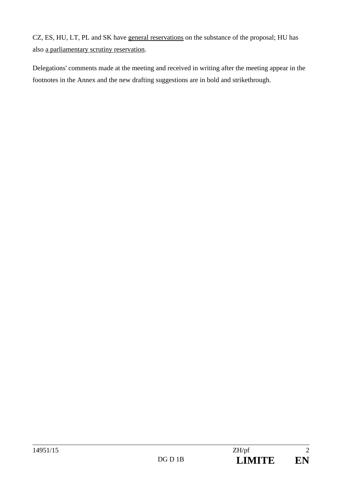CZ, ES, HU, LT, PL and SK have general reservations on the substance of the proposal; HU has also a parliamentary scrutiny reservation.

Delegations' comments made at the meeting and received in writing after the meeting appear in the footnotes in the Annex and the new drafting suggestions are in bold and strikethrough.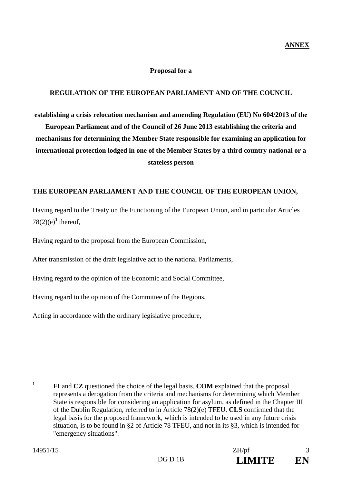## **Proposal for a**

## **REGULATION OF THE EUROPEAN PARLIAMENT AND OF THE COUNCIL**

**establishing a crisis relocation mechanism and amending Regulation (EU) No 604/2013 of the European Parliament and of the Council of 26 June 2013 establishing the criteria and mechanisms for determining the Member State responsible for examining an application for international protection lodged in one of the Member States by a third country national or a stateless person** 

## **THE EUROPEAN PARLIAMENT AND THE COUNCIL OF THE EUROPEAN UNION,**

Having regard to the Treaty on the Functioning of the European Union, and in particular Articles  $78(2)(e)^1$  thereof,

Having regard to the proposal from the European Commission,

After transmission of the draft legislative act to the national Parliaments,

Having regard to the opinion of the Economic and Social Committee,

Having regard to the opinion of the Committee of the Regions,

Acting in accordance with the ordinary legislative procedure,

 **1 FI** and **CZ** questioned the choice of the legal basis. **COM** explained that the proposal represents a derogation from the criteria and mechanisms for determining which Member State is responsible for considering an application for asylum, as defined in the Chapter III of the Dublin Regulation, referred to in Article 78(2)(e) TFEU. **CLS** confirmed that the legal basis for the proposed framework, which is intended to be used in any future crisis situation, is to be found in §2 of Article 78 TFEU, and not in its §3, which is intended for "emergency situations".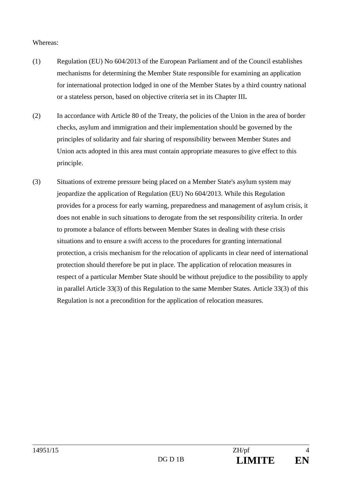#### Whereas:

- (1) Regulation (EU) No 604/2013 of the European Parliament and of the Council establishes mechanisms for determining the Member State responsible for examining an application for international protection lodged in one of the Member States by a third country national or a stateless person, based on objective criteria set in its Chapter III**.**
- (2) In accordance with Article 80 of the Treaty, the policies of the Union in the area of border checks, asylum and immigration and their implementation should be governed by the principles of solidarity and fair sharing of responsibility between Member States and Union acts adopted in this area must contain appropriate measures to give effect to this principle.
- (3) Situations of extreme pressure being placed on a Member State's asylum system may jeopardize the application of Regulation (EU) No 604/2013. While this Regulation provides for a process for early warning, preparedness and management of asylum crisis, it does not enable in such situations to derogate from the set responsibility criteria. In order to promote a balance of efforts between Member States in dealing with these crisis situations and to ensure a swift access to the procedures for granting international protection, a crisis mechanism for the relocation of applicants in clear need of international protection should therefore be put in place. The application of relocation measures in respect of a particular Member State should be without prejudice to the possibility to apply in parallel Article 33(3) of this Regulation to the same Member States. Article 33(3) of this Regulation is not a precondition for the application of relocation measures.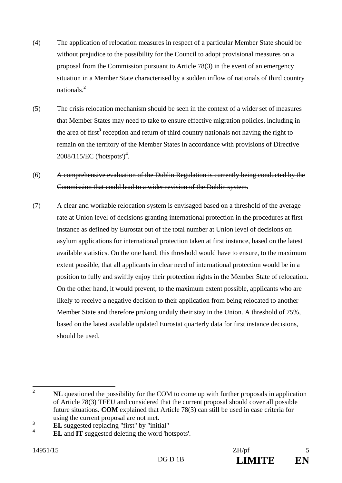- (4) The application of relocation measures in respect of a particular Member State should be without prejudice to the possibility for the Council to adopt provisional measures on a proposal from the Commission pursuant to Article 78(3) in the event of an emergency situation in a Member State characterised by a sudden inflow of nationals of third country nationals.**<sup>2</sup>**
- (5) The crisis relocation mechanism should be seen in the context of a wider set of measures that Member States may need to take to ensure effective migration policies, including in the area of first<sup>3</sup> reception and return of third country nationals not having the right to remain on the territory of the Member States in accordance with provisions of Directive 2008/115/EC ('hotspots')**<sup>4</sup>** .

# (6) A comprehensive evaluation of the Dublin Regulation is currently being conducted by the Commission that could lead to a wider revision of the Dublin system.

(7) A clear and workable relocation system is envisaged based on a threshold of the average rate at Union level of decisions granting international protection in the procedures at first instance as defined by Eurostat out of the total number at Union level of decisions on asylum applications for international protection taken at first instance, based on the latest available statistics. On the one hand, this threshold would have to ensure, to the maximum extent possible, that all applicants in clear need of international protection would be in a position to fully and swiftly enjoy their protection rights in the Member State of relocation. On the other hand, it would prevent, to the maximum extent possible, applicants who are likely to receive a negative decision to their application from being relocated to another Member State and therefore prolong unduly their stay in the Union. A threshold of 75%, based on the latest available updated Eurostat quarterly data for first instance decisions, should be used.

 **2 NL** questioned the possibility for the COM to come up with further proposals in application of Article 78(3) TFEU and considered that the current proposal should cover all possible future situations. **COM** explained that Article 78(3) can still be used in case criteria for using the current proposal are not met.

**<sup>3</sup> EL** suggested replacing "first" by "initial"

**<sup>4</sup> EL** and **IT** suggested deleting the word 'hotspots'.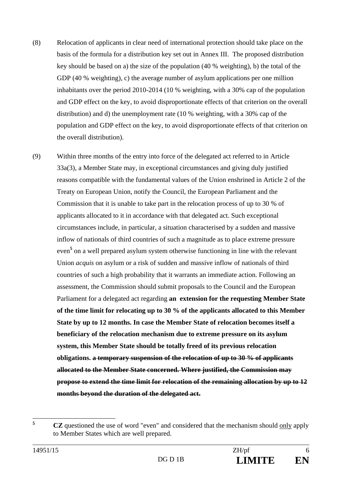- (8) Relocation of applicants in clear need of international protection should take place on the basis of the formula for a distribution key set out in Annex III. The proposed distribution key should be based on a) the size of the population (40 % weighting), b) the total of the GDP (40 % weighting), c) the average number of asylum applications per one million inhabitants over the period 2010-2014 (10 % weighting, with a 30% cap of the population and GDP effect on the key, to avoid disproportionate effects of that criterion on the overall distribution) and d) the unemployment rate (10 % weighting, with a 30% cap of the population and GDP effect on the key, to avoid disproportionate effects of that criterion on the overall distribution).
- (9) Within three months of the entry into force of the delegated act referred to in Article 33a(3), a Member State may, in exceptional circumstances and giving duly justified reasons compatible with the fundamental values of the Union enshrined in Article 2 of the Treaty on European Union, notify the Council, the European Parliament and the Commission that it is unable to take part in the relocation process of up to 30 % of applicants allocated to it in accordance with that delegated act. Such exceptional circumstances include, in particular, a situation characterised by a sudden and massive inflow of nationals of third countries of such a magnitude as to place extreme pressure even**<sup>5</sup>** on a well prepared asylum system otherwise functioning in line with the relevant Union *acquis* on asylum or a risk of sudden and massive inflow of nationals of third countries of such a high probability that it warrants an immediate action. Following an assessment, the Commission should submit proposals to the Council and the European Parliament for a delegated act regarding **an extension for the requesting Member State of the time limit for relocating up to 30 % of the applicants allocated to this Member State by up to 12 months. In case the Member State of relocation becomes itself a beneficiary of the relocation mechanism due to extreme pressure on its asylum system, this Member State should be totally freed of its previous relocation obligations. a temporary suspension of the relocation of up to 30 % of applicants allocated to the Member State concerned. Where justified, the Commission may propose to extend the time limit for relocation of the remaining allocation by up to 12 months beyond the duration of the delegated act.**

 **5 CZ** questioned the use of word "even" and considered that the mechanism should only apply to Member States which are well prepared.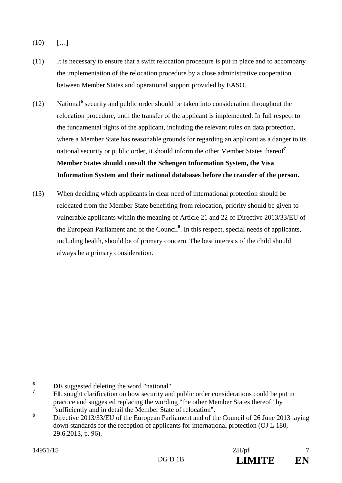- $(10)$   $[...]$
- (11) It is necessary to ensure that a swift relocation procedure is put in place and to accompany the implementation of the relocation procedure by a close administrative cooperation between Member States and operational support provided by EASO.
- (12) National<sup>6</sup> security and public order should be taken into consideration throughout the relocation procedure, until the transfer of the applicant is implemented. In full respect to the fundamental rights of the applicant, including the relevant rules on data protection, where a Member State has reasonable grounds for regarding an applicant as a danger to its national security or public order, it should inform the other Member States thereof**<sup>7</sup>** . **Member States should consult the Schengen Information System, the Visa Information System and their national databases before the transfer of the person.**
- (13) When deciding which applicants in clear need of international protection should be relocated from the Member State benefiting from relocation, priority should be given to vulnerable applicants within the meaning of Article 21 and 22 of Directive 2013/33/EU of the European Parliament and of the Council**<sup>8</sup>** . In this respect, special needs of applicants, including health, should be of primary concern. The best interests of the child should always be a primary consideration.

 **6** DE suggested deleting the word "national".

**<sup>7</sup> EL** sought clarification on how security and public order considerations could be put in practice and suggested replacing the wording "the other Member States thereof" by "sufficiently and in detail the Member State of relocation".

**<sup>8</sup>** Directive 2013/33/EU of the European Parliament and of the Council of 26 June 2013 laying down standards for the reception of applicants for international protection (OJ L 180, 29.6.2013, p. 96).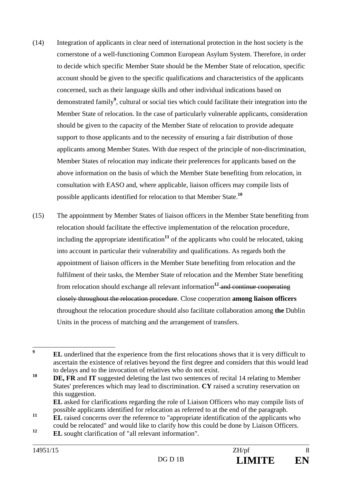- (14) Integration of applicants in clear need of international protection in the host society is the cornerstone of a well-functioning Common European Asylum System. Therefore, in order to decide which specific Member State should be the Member State of relocation, specific account should be given to the specific qualifications and characteristics of the applicants concerned, such as their language skills and other individual indications based on demonstrated family**<sup>9</sup>** , cultural or social ties which could facilitate their integration into the Member State of relocation. In the case of particularly vulnerable applicants, consideration should be given to the capacity of the Member State of relocation to provide adequate support to those applicants and to the necessity of ensuring a fair distribution of those applicants among Member States. With due respect of the principle of non-discrimination, Member States of relocation may indicate their preferences for applicants based on the above information on the basis of which the Member State benefiting from relocation, in consultation with EASO and, where applicable, liaison officers may compile lists of possible applicants identified for relocation to that Member State.**<sup>10</sup>**
- (15) The appointment by Member States of liaison officers in the Member State benefiting from relocation should facilitate the effective implementation of the relocation procedure, including the appropriate identification<sup>11</sup> of the applicants who could be relocated, taking into account in particular their vulnerability and qualifications. As regards both the appointment of liaison officers in the Member State benefiting from relocation and the fulfilment of their tasks, the Member State of relocation and the Member State benefiting from relocation should exchange all relevant information**<sup>12</sup>** and continue cooperating closely throughout the relocation procedure. Close cooperation **among liaison officers**  throughout the relocation procedure should also facilitate collaboration among **the** Dublin Units in the process of matching and the arrangement of transfers.

 **9 EL** underlined that the experience from the first relocations shows that it is very difficult to ascertain the existence of relatives beyond the first degree and considers that this would lead to delays and to the invocation of relatives who do not exist.

**<sup>10</sup> DE, FR** and **IT** suggested deleting the last two sentences of recital 14 relating to Member States' preferences which may lead to discrimination. **CY** raised a scrutiny reservation on this suggestion.

**EL** asked for clarifications regarding the role of Liaison Officers who may compile lists of possible applicants identified for relocation as referred to at the end of the paragraph.

<sup>&</sup>lt;sup>11</sup> **IL** raised concerns over the reference to "appropriate identification of the applicants who could be relocated" and would like to clarify how this could be done by Liaison Officers.

**<sup>12</sup> EL** sought clarification of "all relevant information".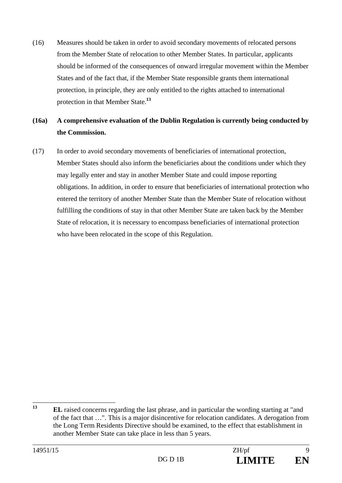(16) Measures should be taken in order to avoid secondary movements of relocated persons from the Member State of relocation to other Member States. In particular, applicants should be informed of the consequences of onward irregular movement within the Member States and of the fact that, if the Member State responsible grants them international protection, in principle, they are only entitled to the rights attached to international protection in that Member State.**<sup>13</sup>**

# **(16a) A comprehensive evaluation of the Dublin Regulation is currently being conducted by the Commission.**

(17) In order to avoid secondary movements of beneficiaries of international protection, Member States should also inform the beneficiaries about the conditions under which they may legally enter and stay in another Member State and could impose reporting obligations. In addition, in order to ensure that beneficiaries of international protection who entered the territory of another Member State than the Member State of relocation without fulfilling the conditions of stay in that other Member State are taken back by the Member State of relocation, it is necessary to encompass beneficiaries of international protection who have been relocated in the scope of this Regulation.

 $13$ **<sup>13</sup> EL** raised concerns regarding the last phrase, and in particular the wording starting at "and of the fact that …". This is a major disincentive for relocation candidates. A derogation from the Long Term Residents Directive should be examined, to the effect that establishment in another Member State can take place in less than 5 years.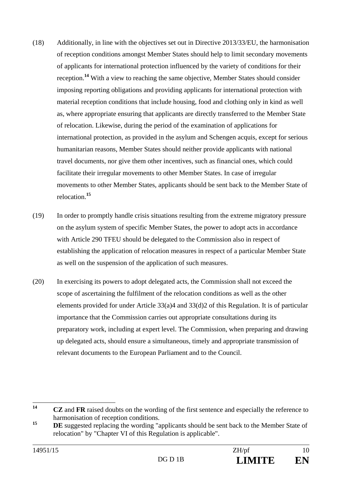- (18) Additionally, in line with the objectives set out in Directive 2013/33/EU, the harmonisation of reception conditions amongst Member States should help to limit secondary movements of applicants for international protection influenced by the variety of conditions for their reception.**<sup>14</sup>** With a view to reaching the same objective, Member States should consider imposing reporting obligations and providing applicants for international protection with material reception conditions that include housing, food and clothing only in kind as well as, where appropriate ensuring that applicants are directly transferred to the Member State of relocation. Likewise, during the period of the examination of applications for international protection, as provided in the asylum and Schengen acquis, except for serious humanitarian reasons, Member States should neither provide applicants with national travel documents, nor give them other incentives, such as financial ones, which could facilitate their irregular movements to other Member States. In case of irregular movements to other Member States, applicants should be sent back to the Member State of relocation.**<sup>15</sup>**
- (19) In order to promptly handle crisis situations resulting from the extreme migratory pressure on the asylum system of specific Member States, the power to adopt acts in accordance with Article 290 TFEU should be delegated to the Commission also in respect of establishing the application of relocation measures in respect of a particular Member State as well on the suspension of the application of such measures.
- (20) In exercising its powers to adopt delegated acts, the Commission shall not exceed the scope of ascertaining the fulfilment of the relocation conditions as well as the other elements provided for under Article 33(a)4 and 33(d)2 of this Regulation. It is of particular importance that the Commission carries out appropriate consultations during its preparatory work, including at expert level. The Commission, when preparing and drawing up delegated acts, should ensure a simultaneous, timely and appropriate transmission of relevant documents to the European Parliament and to the Council.

<sup>14</sup> **<sup>14</sup> CZ** and **FR** raised doubts on the wording of the first sentence and especially the reference to harmonisation of reception conditions.

<sup>&</sup>lt;sup>15</sup> **DE** suggested replacing the wording "applicants should be sent back to the Member State of relocation" by "Chapter VI of this Regulation is applicable".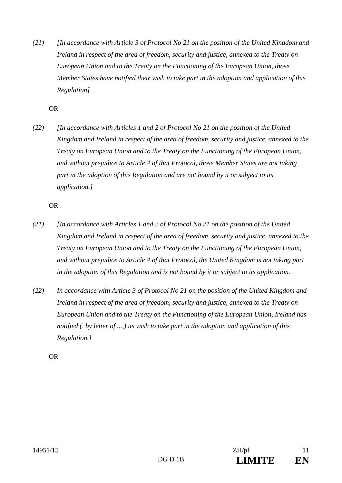*(21) [In accordance with Article 3 of Protocol No 21 on the position of the United Kingdom and Ireland in respect of the area of freedom, security and justice, annexed to the Treaty on European Union and to the Treaty on the Functioning of the European Union, those Member States have notified their wish to take part in the adoption and application of this Regulation]* 

OR

*(22) [In accordance with Articles 1 and 2 of Protocol No 21 on the position of the United Kingdom and Ireland in respect of the area of freedom, security and justice, annexed to the Treaty on European Union and to the Treaty on the Functioning of the European Union, and without prejudice to Article 4 of that Protocol, those Member States are not taking part in the adoption of this Regulation and are not bound by it or subject to its application.]* 

OR

- *(21) [In accordance with Articles 1 and 2 of Protocol No 21 on the position of the United Kingdom and Ireland in respect of the area of freedom, security and justice, annexed to the Treaty on European Union and to the Treaty on the Functioning of the European Union, and without prejudice to Article 4 of that Protocol, the United Kingdom is not taking part in the adoption of this Regulation and is not bound by it or subject to its application.*
- *(22) In accordance with Article 3 of Protocol No 21 on the position of the United Kingdom and Ireland in respect of the area of freedom, security and justice, annexed to the Treaty on European Union and to the Treaty on the Functioning of the European Union, Ireland has notified (, by letter of ...,) its wish to take part in the adoption and application of this Regulation.]*

OR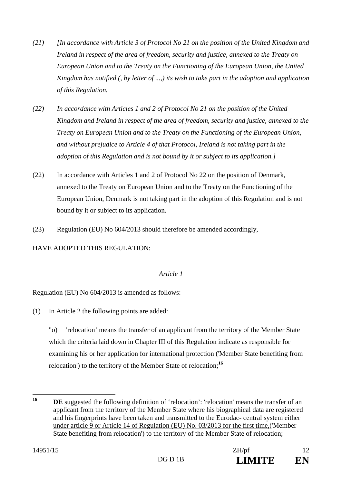- *(21) [In accordance with Article 3 of Protocol No 21 on the position of the United Kingdom and Ireland in respect of the area of freedom, security and justice, annexed to the Treaty on European Union and to the Treaty on the Functioning of the European Union, the United Kingdom has notified (, by letter of ...,) its wish to take part in the adoption and application of this Regulation.*
- *(22) In accordance with Articles 1 and 2 of Protocol No 21 on the position of the United Kingdom and Ireland in respect of the area of freedom, security and justice, annexed to the Treaty on European Union and to the Treaty on the Functioning of the European Union, and without prejudice to Article 4 of that Protocol, Ireland is not taking part in the adoption of this Regulation and is not bound by it or subject to its application.]*
- (22) In accordance with Articles 1 and 2 of Protocol No 22 on the position of Denmark, annexed to the Treaty on European Union and to the Treaty on the Functioning of the European Union, Denmark is not taking part in the adoption of this Regulation and is not bound by it or subject to its application.
- (23) Regulation (EU) No 604/2013 should therefore be amended accordingly,

HAVE ADOPTED THIS REGULATION:

## *Article 1*

Regulation (EU) No 604/2013 is amended as follows:

(1) In Article 2 the following points are added:

"o) 'relocation' means the transfer of an applicant from the territory of the Member State which the criteria laid down in Chapter III of this Regulation indicate as responsible for examining his or her application for international protection ('Member State benefiting from relocation') to the territory of the Member State of relocation;**<sup>16</sup>**

 $16$ **DE** suggested the following definition of 'relocation': 'relocation' means the transfer of an applicant from the territory of the Member State where his biographical data are registered and his fingerprints have been taken and transmitted to the Eurodac- central system either under article 9 or Article 14 of Regulation (EU) No. 03/2013 for the first time,('Member State benefiting from relocation') to the territory of the Member State of relocation;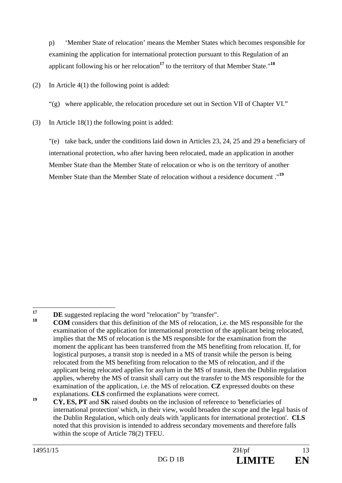p) 'Member State of relocation' means the Member States which becomes responsible for examining the application for international protection pursuant to this Regulation of an applicant following his or her relocation**<sup>17</sup>** to the territory of that Member State."**<sup>18</sup>**

(2) In Article 4(1) the following point is added:

"(g) where applicable, the relocation procedure set out in Section VII of Chapter VI."

(3) In Article 18(1) the following point is added:

"(e) take back, under the conditions laid down in Articles 23, 24, 25 and 29 a beneficiary of international protection, who after having been relocated, made an application in another Member State than the Member State of relocation or who is on the territory of another Member State than the Member State of relocation without a residence document ."**<sup>19</sup>**

<sup>17</sup> <sup>17</sup> **DE** suggested replacing the word "relocation" by "transfer".

**<sup>18</sup> COM** considers that this definition of the MS of relocation, i.e. the MS responsible for the examination of the application for international protection of the applicant being relocated, implies that the MS of relocation is the MS responsible for the examination from the moment the applicant has been transferred from the MS benefiting from relocation. If, for logistical purposes, a transit stop is needed in a MS of transit while the person is being relocated from the MS benefiting from relocation to the MS of relocation, and if the applicant being relocated applies for asylum in the MS of transit, then the Dublin regulation applies, whereby the MS of transit shall carry out the transfer to the MS responsible for the examination of the application, i.e. the MS of relocation. **CZ** expressed doubts on these explanations. **CLS** confirmed the explanations were correct.

**<sup>19</sup> CY, ES, PT** and **SK** raised doubts on the inclusion of reference to 'beneficiaries of international protection' which, in their view, would broaden the scope and the legal basis of the Dublin Regulation, which only deals with 'applicants for international protection'. **CLS** noted that this provision is intended to address secondary movements and therefore falls within the scope of Article 78(2) TFEU.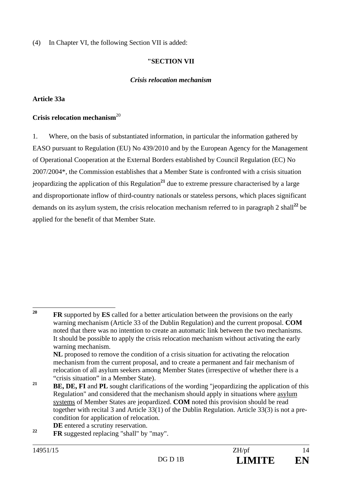(4) In Chapter VI, the following Section VII is added:

#### **"SECTION VII**

#### *Crisis relocation mechanism*

#### **Article 33a**

#### **Crisis relocation mechanism**<sup>20</sup>

1. Where, on the basis of substantiated information, in particular the information gathered by EASO pursuant to Regulation (EU) No 439/2010 and by the European Agency for the Management of Operational Cooperation at the External Borders established by Council Regulation (EC) No 2007/2004\*, the Commission establishes that a Member State is confronted with a crisis situation jeopardizing the application of this Regulation**<sup>21</sup>** due to extreme pressure characterised by a large and disproportionate inflow of third-country nationals or stateless persons, which places significant demands on its asylum system, the crisis relocation mechanism referred to in paragraph 2 shall**<sup>22</sup>** be applied for the benefit of that Member State.

- **DE** entered a scrutiny reservation.
- **<sup>22</sup> FR** suggested replacing "shall" by "may".

 $20$ **FR** supported by **ES** called for a better articulation between the provisions on the early warning mechanism (Article 33 of the Dublin Regulation) and the current proposal. **COM** noted that there was no intention to create an automatic link between the two mechanisms. It should be possible to apply the crisis relocation mechanism without activating the early warning mechanism.

**NL** proposed to remove the condition of a crisis situation for activating the relocation mechanism from the current proposal, and to create a permanent and fair mechanism of relocation of all asylum seekers among Member States (irrespective of whether there is a "crisis situation" in a Member State).

**<sup>21</sup> BE, DE, FI** and PL sought clarifications of the wording "jeopardizing the application of this Regulation" and considered that the mechanism should apply in situations where asylum systems of Member States are jeopardized. **COM** noted this provision should be read together with recital 3 and Article 33(1) of the Dublin Regulation. Article 33(3) is not a precondition for application of relocation.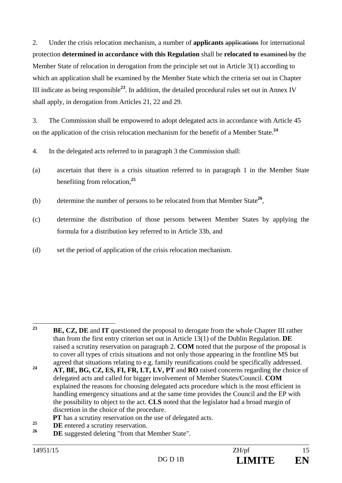2. Under the crisis relocation mechanism, a number of **applicants** applications for international protection **determined in accordance with this Regulation** shall be **relocated to** examined by the Member State of relocation in derogation from the principle set out in Article 3(1) according to which an application shall be examined by the Member State which the criteria set out in Chapter III indicate as being responsible**<sup>23</sup>**. In addition, the detailed procedural rules set out in Annex IV shall apply, in derogation from Articles 21, 22 and 29.

3. The Commission shall be empowered to adopt delegated acts in accordance with Article 45 on the application of the crisis relocation mechanism for the benefit of a Member State.**<sup>24</sup>**

- 4. In the delegated acts referred to in paragraph 3 the Commission shall:
- (a) ascertain that there is a crisis situation referred to in paragraph 1 in the Member State benefiting from relocation,**<sup>25</sup>**
- (b) determine the number of persons to be relocated from that Member State**<sup>26</sup>**,
- (c) determine the distribution of those persons between Member States by applying the formula for a distribution key referred to in Article 33b, and
- (d) set the period of application of the crisis relocation mechanism.

- **PT** has a scrutiny reservation on the use of delegated acts.
- <sup>25</sup> **DE** entered a scrutiny reservation.
- **DE** suggested deleting "from that Member State".

<sup>23</sup> **<sup>23</sup> BE, CZ, DE** and **IT** questioned the proposal to derogate from the whole Chapter III rather than from the first entry criterion set out in Article 13(1) of the Dublin Regulation. **DE** raised a scrutiny reservation on paragraph 2. **COM** noted that the purpose of the proposal is to cover all types of crisis situations and not only those appearing in the frontline MS but agreed that situations relating to e.g. family reunifications could be specifically addressed.

<sup>&</sup>lt;sup>24</sup> **AT, BE, BG, CZ, ES, FI, FR, LT, LV, PT** and **RO** raised concerns regarding the choice of delegated acts and called for bigger involvement of Member States/Council. **COM** explained the reasons for choosing delegated acts procedure which is the most efficient in handling emergency situations and at the same time provides the Council and the EP with the possibility to object to the act. **CLS** noted that the legislator had a broad margin of discretion in the choice of the procedure.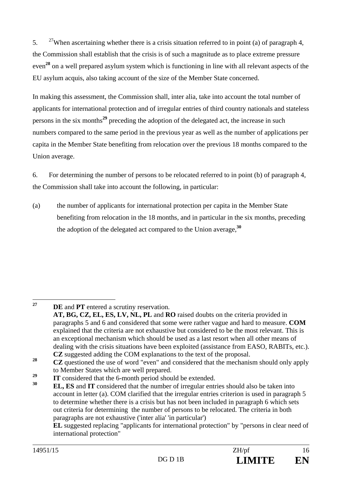5. <sup>27</sup>When ascertaining whether there is a crisis situation referred to in point (a) of paragraph 4, the Commission shall establish that the crisis is of such a magnitude as to place extreme pressure even**<sup>28</sup>** on a well prepared asylum system which is functioning in line with all relevant aspects of the EU asylum acquis, also taking account of the size of the Member State concerned.

In making this assessment, the Commission shall, inter alia, take into account the total number of applicants for international protection and of irregular entries of third country nationals and stateless persons in the six months**<sup>29</sup>** preceding the adoption of the delegated act, the increase in such numbers compared to the same period in the previous year as well as the number of applications per capita in the Member State benefiting from relocation over the previous 18 months compared to the Union average.

6. For determining the number of persons to be relocated referred to in point (b) of paragraph 4, the Commission shall take into account the following, in particular:

(a) the number of applicants for international protection per capita in the Member State benefiting from relocation in the 18 months, and in particular in the six months, preceding the adoption of the delegated act compared to the Union average,**<sup>30</sup>**

 $27$ 

**DE** and **PT** entered a scrutiny reservation.

**EL** suggested replacing "applicants for international protection" by "persons in clear need of international protection"

**AT, BG, CZ, EL, ES, LV, NL, PL** and **RO** raised doubts on the criteria provided in paragraphs 5 and 6 and considered that some were rather vague and hard to measure. **COM** explained that the criteria are not exhaustive but considered to be the most relevant. This is an exceptional mechanism which should be used as a last resort when all other means of dealing with the crisis situations have been exploited (assistance from EASO, RABITs, etc.). **CZ** suggested adding the COM explanations to the text of the proposal.

**<sup>28</sup> CZ** questioned the use of word "even" and considered that the mechanism should only apply to Member States which are well prepared.

<sup>&</sup>lt;sup>29</sup> **IT** considered that the 6-month period should be extended.

**<sup>30</sup> EL, ES** and **IT** considered that the number of irregular entries should also be taken into account in letter (a). COM clarified that the irregular entries criterion is used in paragraph 5 to determine whether there is a crisis but has not been included in paragraph 6 which sets out criteria for determining the number of persons to be relocated. The criteria in both paragraphs are not exhaustive ('inter alia' 'in particular')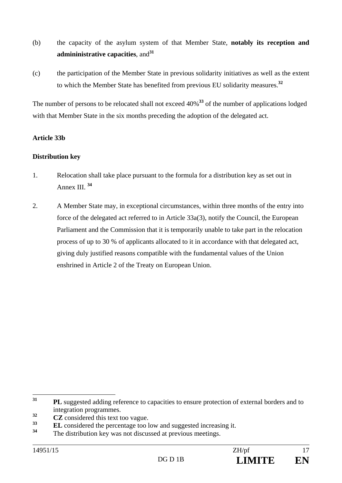- (b) the capacity of the asylum system of that Member State, **notably its reception and admininistrative capacities**, and**<sup>31</sup>**
- (c) the participation of the Member State in previous solidarity initiatives as well as the extent to which the Member State has benefited from previous EU solidarity measures.**<sup>32</sup>**

The number of persons to be relocated shall not exceed 40%**<sup>33</sup>** of the number of applications lodged with that Member State in the six months preceding the adoption of the delegated act.

## **Article 33b**

#### **Distribution key**

- 1. Relocation shall take place pursuant to the formula for a distribution key as set out in Annex III. **<sup>34</sup>**
- 2. A Member State may, in exceptional circumstances, within three months of the entry into force of the delegated act referred to in Article 33a(3), notify the Council, the European Parliament and the Commission that it is temporarily unable to take part in the relocation process of up to 30 % of applicants allocated to it in accordance with that delegated act, giving duly justified reasons compatible with the fundamental values of the Union enshrined in Article 2 of the Treaty on European Union.

 $31$ **PL** suggested adding reference to capacities to ensure protection of external borders and to integration programmes.

**<sup>32</sup> CZ** considered this text too vague.

**<sup>33</sup> EL** considered the percentage too low and suggested increasing it.

**<sup>34</sup>** The distribution key was not discussed at previous meetings.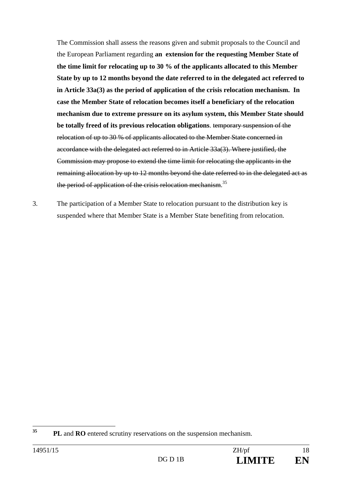The Commission shall assess the reasons given and submit proposals to the Council and the European Parliament regarding **an extension for the requesting Member State of the time limit for relocating up to 30 % of the applicants allocated to this Member State by up to 12 months beyond the date referred to in the delegated act referred to in Article 33a(3) as the period of application of the crisis relocation mechanism. In case the Member State of relocation becomes itself a beneficiary of the relocation mechanism due to extreme pressure on its asylum system, this Member State should be totally freed of its previous relocation obligations**. temporary suspension of the relocation of up to 30 % of applicants allocated to the Member State concerned in accordance with the delegated act referred to in Article 33a(3). Where justified, the Commission may propose to extend the time limit for relocating the applicants in the remaining allocation by up to 12 months beyond the date referred to in the delegated act as the period of application of the crisis relocation mechanism.<sup>35</sup>

3. The participation of a Member State to relocation pursuant to the distribution key is suspended where that Member State is a Member State benefiting from relocation.

 $35$ **<sup>35</sup> PL** and **RO** entered scrutiny reservations on the suspension mechanism.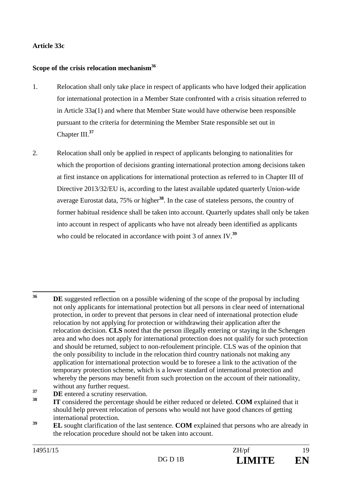## **Article 33c**

#### **Scope of the crisis relocation mechanism36**

- 1. Relocation shall only take place in respect of applicants who have lodged their application for international protection in a Member State confronted with a crisis situation referred to in Article 33a(1) and where that Member State would have otherwise been responsible pursuant to the criteria for determining the Member State responsible set out in Chapter III.**<sup>37</sup>**
- 2. Relocation shall only be applied in respect of applicants belonging to nationalities for which the proportion of decisions granting international protection among decisions taken at first instance on applications for international protection as referred to in Chapter III of Directive 2013/32/EU is, according to the latest available updated quarterly Union-wide average Eurostat data, 75% or higher**<sup>38</sup>**. In the case of stateless persons, the country of former habitual residence shall be taken into account. Quarterly updates shall only be taken into account in respect of applicants who have not already been identified as applicants who could be relocated in accordance with point 3 of annex IV.**<sup>39</sup>**

**37 DE** entered a scrutiny reservation.

<sup>36</sup> **DE** suggested reflection on a possible widening of the scope of the proposal by including not only applicants for international protection but all persons in clear need of international protection, in order to prevent that persons in clear need of international protection elude relocation by not applying for protection or withdrawing their application after the relocation decision. **CLS** noted that the person illegally entering or staying in the Schengen area and who does not apply for international protection does not qualify for such protection and should be returned, subject to non-refoulement principle. CLS was of the opinion that the only possibility to include in the relocation third country nationals not making any application for international protection would be to foresee a link to the activation of the temporary protection scheme, which is a lower standard of international protection and whereby the persons may benefit from such protection on the account of their nationality, without any further request.

**<sup>38</sup> IT** considered the percentage should be either reduced or deleted. **COM** explained that it should help prevent relocation of persons who would not have good chances of getting international protection.

<sup>&</sup>lt;sup>39</sup> **EL** sought clarification of the last sentence. **COM** explained that persons who are already in the relocation procedure should not be taken into account.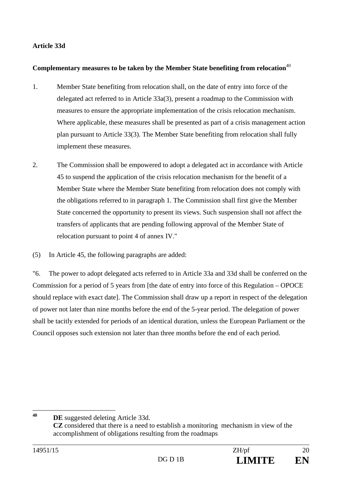## **Article 33d**

#### **Complementary measures to be taken by the Member State benefiting from relocation**<sup>40</sup>

- 1. Member State benefiting from relocation shall, on the date of entry into force of the delegated act referred to in Article 33a(3), present a roadmap to the Commission with measures to ensure the appropriate implementation of the crisis relocation mechanism. Where applicable, these measures shall be presented as part of a crisis management action plan pursuant to Article 33(3). The Member State benefiting from relocation shall fully implement these measures.
- 2. The Commission shall be empowered to adopt a delegated act in accordance with Article 45 to suspend the application of the crisis relocation mechanism for the benefit of a Member State where the Member State benefiting from relocation does not comply with the obligations referred to in paragraph 1. The Commission shall first give the Member State concerned the opportunity to present its views. Such suspension shall not affect the transfers of applicants that are pending following approval of the Member State of relocation pursuant to point 4 of annex IV."
- (5) In Article 45, the following paragraphs are added:

"6. The power to adopt delegated acts referred to in Article 33a and 33d shall be conferred on the Commission for a period of 5 years from [the date of entry into force of this Regulation – OPOCE should replace with exact date]. The Commission shall draw up a report in respect of the delegation of power not later than nine months before the end of the 5-year period. The delegation of power shall be tacitly extended for periods of an identical duration, unless the European Parliament or the Council opposes such extension not later than three months before the end of each period.

<sup>40</sup> **DE** suggested deleting Article 33d. **CZ** considered that there is a need to establish a monitoring mechanism in view of the accomplishment of obligations resulting from the roadmaps